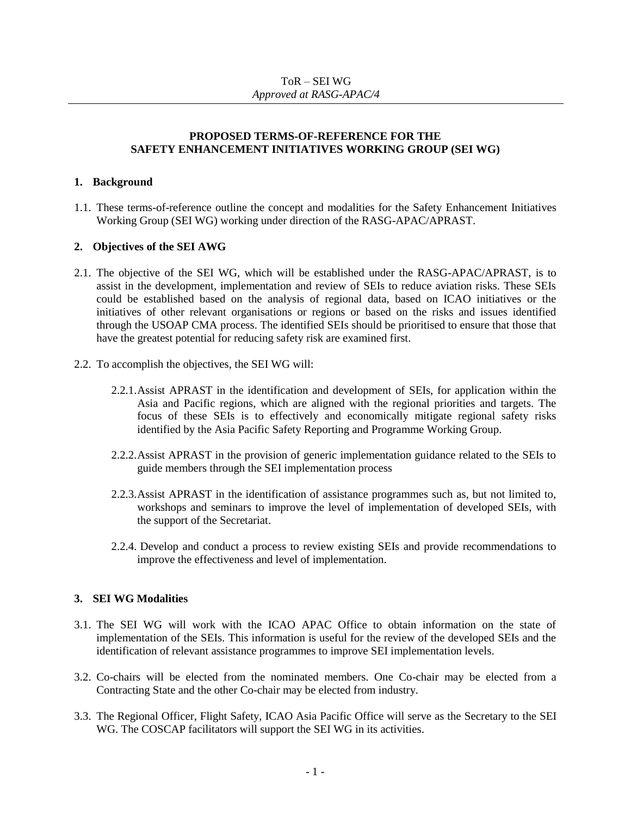# ToR – SEI WG *Approved at RASG-APAC/4*

### **PROPOSED TERMS-OF-REFERENCE FOR THE SAFETY ENHANCEMENT INITIATIVES WORKING GROUP (SEI WG)**

## **1. Background**

1.1. These terms-of-reference outline the concept and modalities for the Safety Enhancement Initiatives Working Group (SEI WG) working under direction of the RASG-APAC/APRAST.

### **2. Objectives of the SEI AWG**

- 2.1. The objective of the SEI WG, which will be established under the RASG-APAC/APRAST, is to assist in the development, implementation and review of SEIs to reduce aviation risks. These SEIs could be established based on the analysis of regional data, based on ICAO initiatives or the initiatives of other relevant organisations or regions or based on the risks and issues identified through the USOAP CMA process. The identified SEIs should be prioritised to ensure that those that have the greatest potential for reducing safety risk are examined first.
- 2.2. To accomplish the objectives, the SEI WG will:
	- 2.2.1.Assist APRAST in the identification and development of SEIs, for application within the Asia and Pacific regions, which are aligned with the regional priorities and targets. The focus of these SEIs is to effectively and economically mitigate regional safety risks identified by the Asia Pacific Safety Reporting and Programme Working Group.
	- 2.2.2.Assist APRAST in the provision of generic implementation guidance related to the SEIs to guide members through the SEI implementation process
	- 2.2.3.Assist APRAST in the identification of assistance programmes such as, but not limited to, workshops and seminars to improve the level of implementation of developed SEIs, with the support of the Secretariat.
	- 2.2.4. Develop and conduct a process to review existing SEIs and provide recommendations to improve the effectiveness and level of implementation.

### **3. SEI WG Modalities**

- 3.1. The SEI WG will work with the ICAO APAC Office to obtain information on the state of implementation of the SEIs. This information is useful for the review of the developed SEIs and the identification of relevant assistance programmes to improve SEI implementation levels.
- 3.2. Co-chairs will be elected from the nominated members. One Co-chair may be elected from a Contracting State and the other Co-chair may be elected from industry.
- 3.3. The Regional Officer, Flight Safety, ICAO Asia Pacific Office will serve as the Secretary to the SEI WG. The COSCAP facilitators will support the SEI WG in its activities.